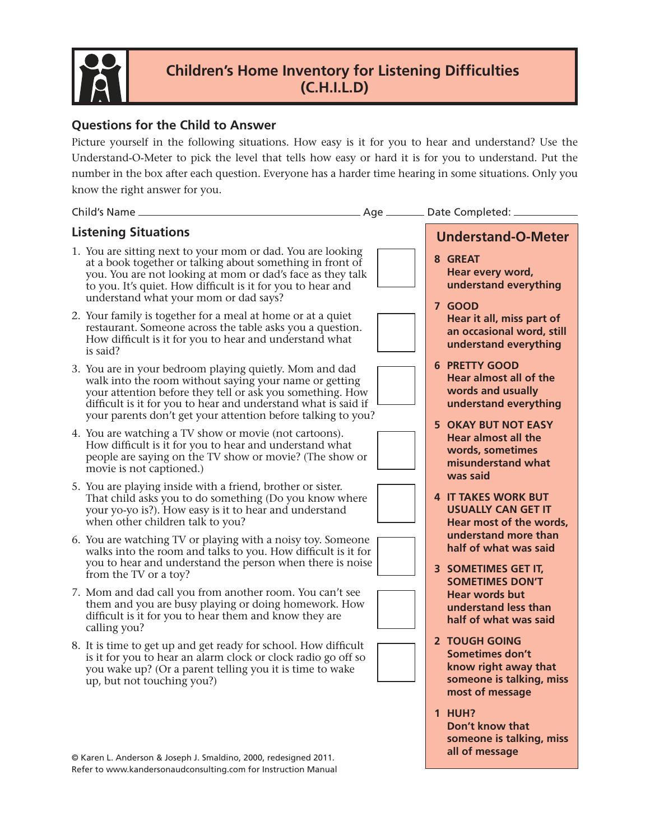

## **Children's Home Inventory for Listening Difficulties (C.H.I.L.D)**

### **Questions for the Child to Answer**

Picture yourself in the following situations. How easy is it for you to hear and understand? Use the Understand-O-Meter to pick the level that tells how easy or hard it is for you to understand. Put the number in the box after each question. Everyone has a harder time hearing in some situations. Only you know the right answer for you.

#### **Listening Situations**

- 1. You are sitting next to your mom or dad. You are looking at a book together or talking about something in front of you. You are not looking at mom or dad's face as they talk to you. It's quiet. How difficult is it for you to hear and understand what your mom or dad says?
- 2. Your family is together for a meal at home or at a quiet restaurant. Someone across the table asks you a question. How difficult is it for you to hear and understand what is said?
- 3. You are in your bedroom playing quietly. Mom and dad walk into the room without saying your name or getting your attention before they tell or ask you something. How difficult is it for you to hear and understand what is said if your parents don't get your attention before talking to you?
- 4. You are watching a TV show or movie (not cartoons). How difficult is it for you to hear and understand what people are saying on the TV show or movie? (The show or movie is not captioned.)
- 5. You are playing inside with a friend, brother or sister. That child asks you to do something (Do you know where your yo-yo is?). How easy is it to hear and understand when other children talk to you?
- 6. You are watching TV or playing with a noisy toy. Someone walks into the room and talks to you. How difficult is it for you to hear and understand the person when there is noise from the TV or a toy?
- 7. Mom and dad call you from another room. You can't see them and you are busy playing or doing homework. How difficult is it for you to hear them and know they are calling you?
- 8. It is time to get up and get ready for school. How difficult is it for you to hear an alarm clock or clock radio go off so you wake up? (Or a parent telling you it is time to wake up, but not touching you?)

© Karen L. Anderson & Joseph J. Smaldino, 2000, redesigned 2011. Refer to www.kandersonaudconsulting.com for Instruction Manual

- Child's Name Age Date Completed: **Understand-O-Meter 8 GREAT Hear every word, understand everything 7 GOOD Hear it all, miss part of an occasional word, still understand everything 6 PRETTY GOOD Hear almost all of the words and usually understand everything 5 OKAY BUT NOT EASY Hear almost all the words, sometimes misunderstand what was said 4 IT TAKES WORK BUT USUALLY CAN GET IT Hear most of the words, understand more than half of what was said 3 SOMETIMES GET IT, SOMETIMES DON'T Hear words but understand less than half of what was said 2 TOUGH GOING Sometimes don't know right away that someone is talking, miss most of message 1 HUH?** 
	- **Don't know that someone is talking, miss all of message**